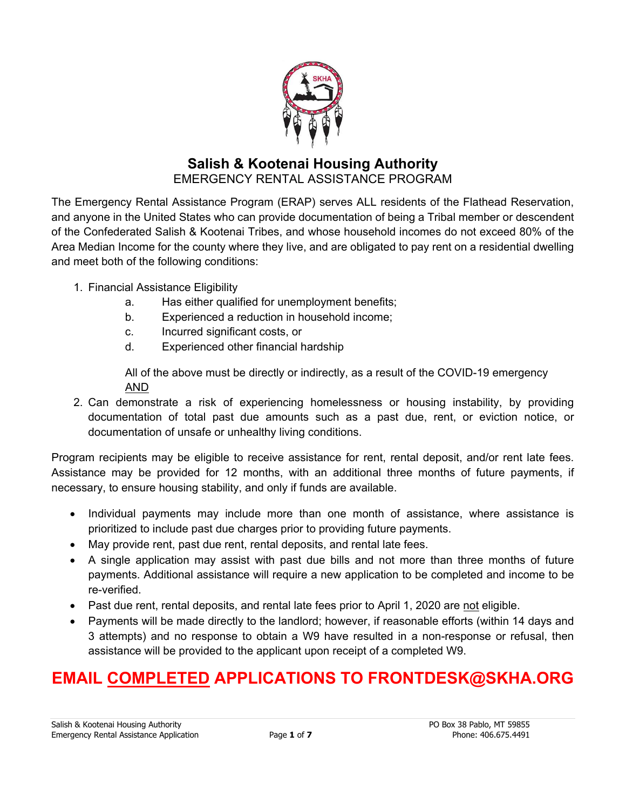

# **Salish & Kootenai Housing Authority**  EMERGENCY RENTAL ASSISTANCE PROGRAM

The Emergency Rental Assistance Program (ERAP) serves ALL residents of the Flathead Reservation, and anyone in the United States who can provide documentation of being a Tribal member or descendent of the Confederated Salish & Kootenai Tribes, and whose household incomes do not exceed 80% of the Area Median Income for the county where they live, and are obligated to pay rent on a residential dwelling and meet both of the following conditions:

- 1. Financial Assistance Eligibility
	- a. Has either qualified for unemployment benefits;
	- b. Experienced a reduction in household income;
	- c. Incurred significant costs, or
	- d. Experienced other financial hardship

All of the above must be directly or indirectly, as a result of the COVID-19 emergency AND

2. Can demonstrate a risk of experiencing homelessness or housing instability, by providing documentation of total past due amounts such as a past due, rent, or eviction notice, or documentation of unsafe or unhealthy living conditions.

Program recipients may be eligible to receive assistance for rent, rental deposit, and/or rent late fees. Assistance may be provided for 12 months, with an additional three months of future payments, if necessary, to ensure housing stability, and only if funds are available.

- Individual payments may include more than one month of assistance, where assistance is prioritized to include past due charges prior to providing future payments.
- May provide rent, past due rent, rental deposits, and rental late fees.
- A single application may assist with past due bills and not more than three months of future payments. Additional assistance will require a new application to be completed and income to be re-verified.
- Past due rent, rental deposits, and rental late fees prior to April 1, 2020 are not eligible.
- Payments will be made directly to the landlord; however, if reasonable efforts (within 14 days and 3 attempts) and no response to obtain a W9 have resulted in a non-response or refusal, then assistance will be provided to the applicant upon receipt of a completed W9.

# **EMAIL COMPLETED APPLICATIONS TO FRONTDESK@SKHA.ORG**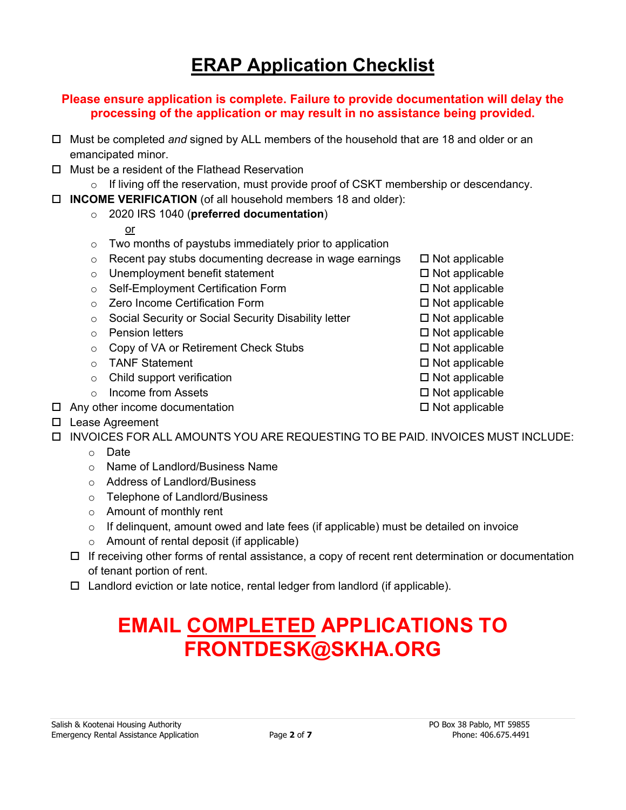# **ERAP Application Checklist**

#### **Please ensure application is complete. Failure to provide documentation will delay the processing of the application or may result in no assistance being provided.**

- Must be completed *and* signed by ALL members of the household that are 18 and older or an emancipated minor.
- $\Box$  Must be a resident of the Flathead Reservation
- o If living off the reservation, must provide proof of CSKT membership or descendancy.
- **INCOME VERIFICATION** (of all household members 18 and older):

# o 2020 IRS 1040 (**preferred documentation**)

- or
- o Two months of paystubs immediately prior to application
- $\circ$  Recent pay stubs documenting decrease in wage earnings  $\Box$  Not applicable
- $\circ$  Unemployment benefit statement  $\square$  Not applicable
- $\circ$  Self-Employment Certification Form  $\Box$  Not applicable
- o Zero Income Certification Form  $\Box$  Not applicable
- $\circ$  Social Security or Social Security Disability letter  $\Box$  Not applicable
- $\circ$  Pension letters  $\Box$  Not applicable
- $\circ$  Copy of VA or Retirement Check Stubs  $\Box$  Not applicable
- o TANF Statement **Not applicable**
- $\circ$  Child support verification  $\Box$  Not applicable
- $\circ$  Income from Assets  $\Box$  Not applicable
- $\Box$  Any other income documentation  $\Box$  Any other income documentation
- □ Lease Agreement
- INVOICES FOR ALL AMOUNTS YOU ARE REQUESTING TO BE PAID. INVOICES MUST INCLUDE:
	- o Date
	- o Name of Landlord/Business Name
	- o Address of Landlord/Business
	- o Telephone of Landlord/Business
	- o Amount of monthly rent
	- $\circ$  If delinguent, amount owed and late fees (if applicable) must be detailed on invoice
	- o Amount of rental deposit (if applicable)
	- $\Box$  If receiving other forms of rental assistance, a copy of recent rent determination or documentation of tenant portion of rent.
	- $\Box$  Landlord eviction or late notice, rental ledger from landlord (if applicable).

# **EMAIL COMPLETED APPLICATIONS TO FRONTDESK@SKHA.ORG**

- 
- -
- 
- 
- 
- 
-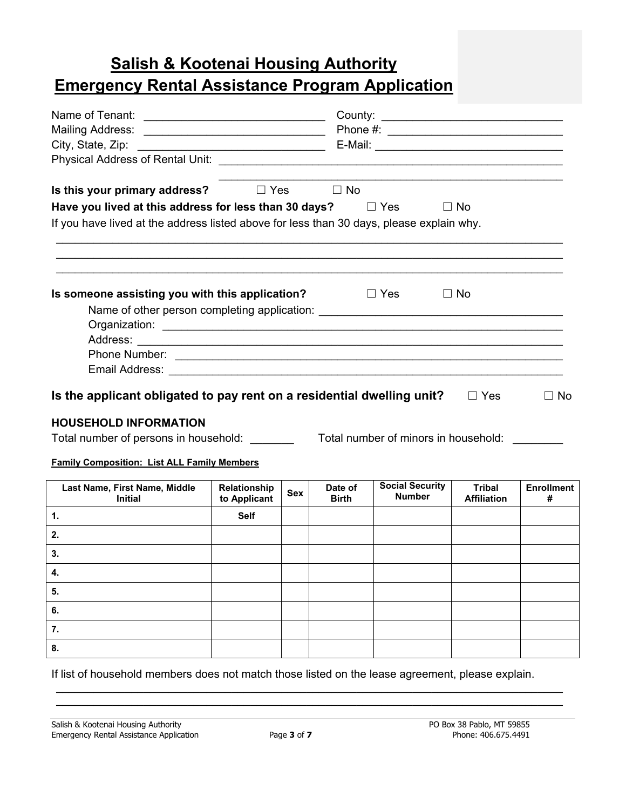# **Salish & Kootenai Housing Authority Emergency Rental Assistance Program Application**

| Is this your primary address?                                                                                                                                                                                          |                              |            | $\Box$ Yes $\Box$ No    |                                         |                                     |                        |  |
|------------------------------------------------------------------------------------------------------------------------------------------------------------------------------------------------------------------------|------------------------------|------------|-------------------------|-----------------------------------------|-------------------------------------|------------------------|--|
| Have you lived at this address for less than 30 days? $\Box$ Yes                                                                                                                                                       |                              |            |                         |                                         | $\Box$ No                           |                        |  |
| If you have lived at the address listed above for less than 30 days, please explain why.                                                                                                                               |                              |            |                         |                                         |                                     |                        |  |
|                                                                                                                                                                                                                        |                              |            |                         |                                         |                                     |                        |  |
| Is someone assisting you with this application?                                                                                                                                                                        |                              |            | and Di Yes              |                                         | $\Box$ No                           |                        |  |
| Name of other person completing application: ___________________________________                                                                                                                                       |                              |            |                         |                                         |                                     |                        |  |
|                                                                                                                                                                                                                        |                              |            |                         |                                         |                                     |                        |  |
|                                                                                                                                                                                                                        |                              |            |                         |                                         |                                     |                        |  |
|                                                                                                                                                                                                                        |                              |            |                         |                                         |                                     |                        |  |
| Is the applicant obligated to pay rent on a residential dwelling unit?<br>$\Box$ No<br>$\Box$ Yes<br><b>HOUSEHOLD INFORMATION</b><br>Total number of persons in household: ___<br>Total number of minors in household: |                              |            |                         |                                         |                                     |                        |  |
| <b>Family Composition: List ALL Family Members</b>                                                                                                                                                                     |                              |            |                         |                                         |                                     |                        |  |
| Last Name, First Name, Middle<br><b>Initial</b>                                                                                                                                                                        | Relationship<br>to Applicant | <b>Sex</b> | Date of<br><b>Birth</b> | <b>Social Security</b><br><b>Number</b> | <b>Tribal</b><br><b>Affiliation</b> | <b>Enrollment</b><br># |  |
| $\mathbf{1}$ .                                                                                                                                                                                                         | <b>Self</b>                  |            |                         |                                         |                                     |                        |  |
| 2.                                                                                                                                                                                                                     |                              |            |                         |                                         |                                     |                        |  |
| 3.                                                                                                                                                                                                                     |                              |            |                         |                                         |                                     |                        |  |
| 4.                                                                                                                                                                                                                     |                              |            |                         |                                         |                                     |                        |  |
| 5.                                                                                                                                                                                                                     |                              |            |                         |                                         |                                     |                        |  |
| 6.                                                                                                                                                                                                                     |                              |            |                         |                                         |                                     |                        |  |
|                                                                                                                                                                                                                        |                              |            |                         |                                         |                                     |                        |  |
| 7.                                                                                                                                                                                                                     |                              |            |                         |                                         |                                     |                        |  |

If list of household members does not match those listed on the lease agreement, please explain.

 \_\_\_\_\_\_\_\_\_\_\_\_\_\_\_\_\_\_\_\_\_\_\_\_\_\_\_\_\_\_\_\_\_\_\_\_\_\_\_\_\_\_\_\_\_\_\_\_\_\_\_\_\_\_\_\_\_\_\_\_\_\_\_\_\_\_\_\_\_\_\_\_\_\_\_\_\_\_\_\_\_ \_\_\_\_\_\_\_\_\_\_\_\_\_\_\_\_\_\_\_\_\_\_\_\_\_\_\_\_\_\_\_\_\_\_\_\_\_\_\_\_\_\_\_\_\_\_\_\_\_\_\_\_\_\_\_\_\_\_\_\_\_\_\_\_\_\_\_\_\_\_\_\_\_\_\_\_\_\_\_\_\_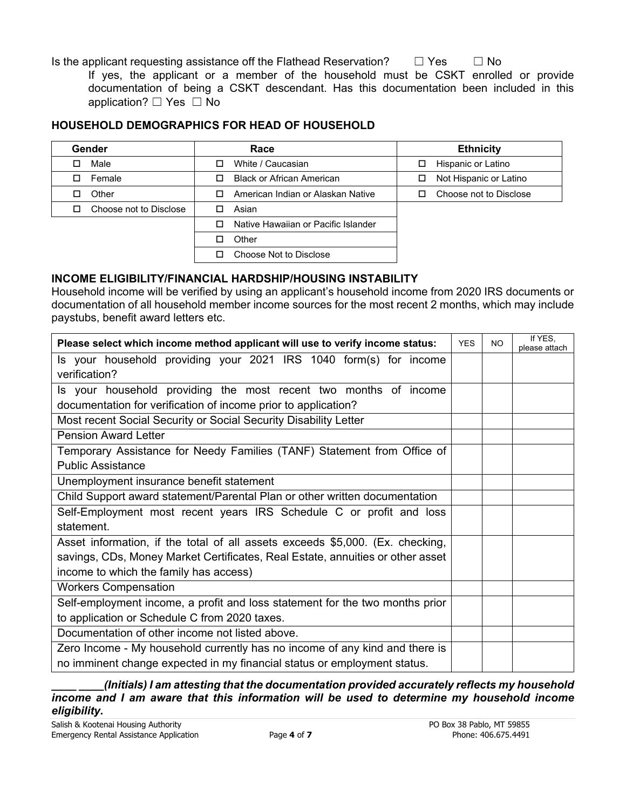Is the applicant requesting assistance off the Flathead Reservation?  $□$  Yes  $□$  No

If yes, the applicant or a member of the household must be CSKT enrolled or provide documentation of being a CSKT descendant. Has this documentation been included in this application? □ Yes □ No

#### **HOUSEHOLD DEMOGRAPHICS FOR HEAD OF HOUSEHOLD**

| Gender                 | Race                                | <b>Ethnicity</b>            |  |  |
|------------------------|-------------------------------------|-----------------------------|--|--|
| Male                   | White / Caucasian<br>□              | Hispanic or Latino<br>□     |  |  |
| Female                 | <b>Black or African American</b>    | Not Hispanic or Latino<br>ப |  |  |
| Other                  | American Indian or Alaskan Native   | Choose not to Disclose      |  |  |
| Choose not to Disclose | Asian                               |                             |  |  |
|                        | Native Hawaiian or Pacific Islander |                             |  |  |
|                        | Other                               |                             |  |  |
|                        | Choose Not to Disclose              |                             |  |  |

#### **INCOME ELIGIBILITY/FINANCIAL HARDSHIP/HOUSING INSTABILITY**

Household income will be verified by using an applicant's household income from 2020 IRS documents or documentation of all household member income sources for the most recent 2 months, which may include paystubs, benefit award letters etc.

| Please select which income method applicant will use to verify income status:  |  |  | If YES,<br>please attach |  |
|--------------------------------------------------------------------------------|--|--|--------------------------|--|
| Is your household providing your 2021 IRS 1040 form(s) for income              |  |  |                          |  |
| verification?                                                                  |  |  |                          |  |
| Is your household providing the most recent two months of income               |  |  |                          |  |
| documentation for verification of income prior to application?                 |  |  |                          |  |
| Most recent Social Security or Social Security Disability Letter               |  |  |                          |  |
| <b>Pension Award Letter</b>                                                    |  |  |                          |  |
| Temporary Assistance for Needy Families (TANF) Statement from Office of        |  |  |                          |  |
| <b>Public Assistance</b>                                                       |  |  |                          |  |
| Unemployment insurance benefit statement                                       |  |  |                          |  |
| Child Support award statement/Parental Plan or other written documentation     |  |  |                          |  |
| Self-Employment most recent years IRS Schedule C or profit and loss            |  |  |                          |  |
| statement.                                                                     |  |  |                          |  |
| Asset information, if the total of all assets exceeds \$5,000. (Ex. checking,  |  |  |                          |  |
| savings, CDs, Money Market Certificates, Real Estate, annuities or other asset |  |  |                          |  |
| income to which the family has access)                                         |  |  |                          |  |
| <b>Workers Compensation</b>                                                    |  |  |                          |  |
| Self-employment income, a profit and loss statement for the two months prior   |  |  |                          |  |
| to application or Schedule C from 2020 taxes.                                  |  |  |                          |  |
| Documentation of other income not listed above.                                |  |  |                          |  |
| Zero Income - My household currently has no income of any kind and there is    |  |  |                          |  |
| no imminent change expected in my financial status or employment status.       |  |  |                          |  |

*\_\_\_\_ \_\_\_\_(Initials) I am attesting that the documentation provided accurately reflects my household income and I am aware that this information will be used to determine my household income eligibility.*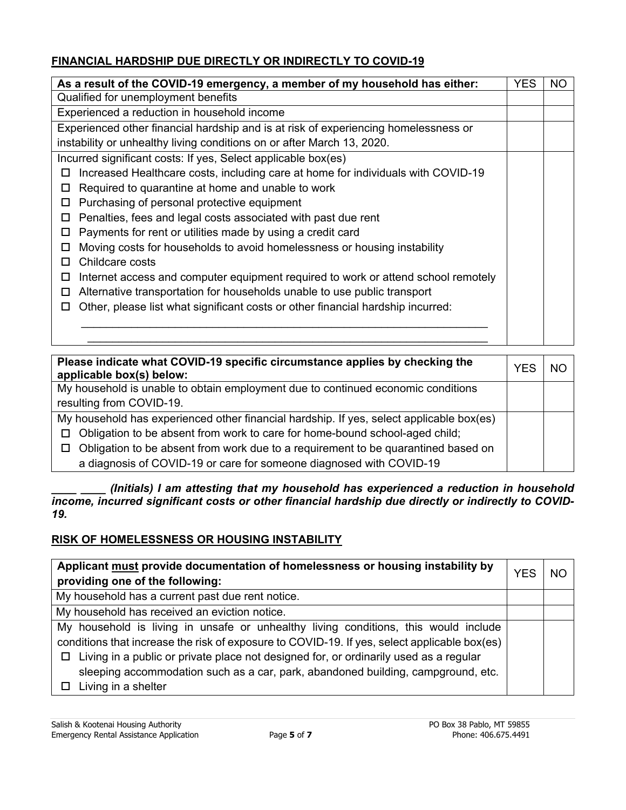## **FINANCIAL HARDSHIP DUE DIRECTLY OR INDIRECTLY TO COVID-19**

| As a result of the COVID-19 emergency, a member of my household has either:                 |  |  |
|---------------------------------------------------------------------------------------------|--|--|
| Qualified for unemployment benefits                                                         |  |  |
| Experienced a reduction in household income                                                 |  |  |
| Experienced other financial hardship and is at risk of experiencing homelessness or         |  |  |
| instability or unhealthy living conditions on or after March 13, 2020.                      |  |  |
| Incurred significant costs: If yes, Select applicable box(es)                               |  |  |
| Increased Healthcare costs, including care at home for individuals with COVID-19<br>ப       |  |  |
| Required to quarantine at home and unable to work<br>ш                                      |  |  |
| Purchasing of personal protective equipment<br>ப                                            |  |  |
| Penalties, fees and legal costs associated with past due rent<br>$\Box$                     |  |  |
| Payments for rent or utilities made by using a credit card<br>$\Box$                        |  |  |
| Moving costs for households to avoid homelessness or housing instability<br>Ц               |  |  |
| Childcare costs                                                                             |  |  |
| Internet access and computer equipment required to work or attend school remotely<br>$\Box$ |  |  |
| Alternative transportation for households unable to use public transport<br>ш               |  |  |
| Other, please list what significant costs or other financial hardship incurred:<br>ш        |  |  |
|                                                                                             |  |  |
|                                                                                             |  |  |

| Please indicate what COVID-19 specific circumstance applies by checking the<br>applicable box(s) below: |  |  |  |
|---------------------------------------------------------------------------------------------------------|--|--|--|
| My household is unable to obtain employment due to continued economic conditions                        |  |  |  |
| resulting from COVID-19.                                                                                |  |  |  |
| My household has experienced other financial hardship. If yes, select applicable box(es)                |  |  |  |
| $\Box$ Obligation to be absent from work to care for home-bound school-aged child;                      |  |  |  |
| $\Box$ Obligation to be absent from work due to a requirement to be quarantined based on                |  |  |  |
| a diagnosis of COVID-19 or care for someone diagnosed with COVID-19                                     |  |  |  |

*\_\_\_\_ \_\_\_\_ (Initials) I am attesting that my household has experienced a reduction in household income, incurred significant costs or other financial hardship due directly or indirectly to COVID-19.* 

# **RISK OF HOMELESSNESS OR HOUSING INSTABILITY**

| Applicant must provide documentation of homelessness or housing instability by<br>providing one of the following: |  |  |  |
|-------------------------------------------------------------------------------------------------------------------|--|--|--|
| My household has a current past due rent notice.                                                                  |  |  |  |
| My household has received an eviction notice.                                                                     |  |  |  |
| My household is living in unsafe or unhealthy living conditions, this would include                               |  |  |  |
| conditions that increase the risk of exposure to COVID-19. If yes, select applicable box(es)                      |  |  |  |
| Living in a public or private place not designed for, or ordinarily used as a regular<br>□                        |  |  |  |
| sleeping accommodation such as a car, park, abandoned building, campground, etc.                                  |  |  |  |
| Living in a shelter                                                                                               |  |  |  |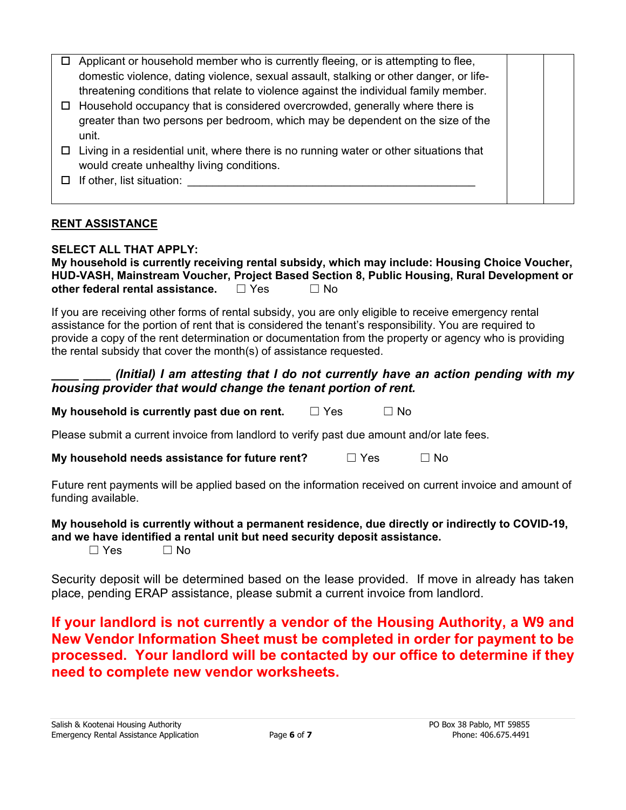|        | Applicant or household member who is currently fleeing, or is attempting to flee,      |  |
|--------|----------------------------------------------------------------------------------------|--|
|        | domestic violence, dating violence, sexual assault, stalking or other danger, or life- |  |
|        | threatening conditions that relate to violence against the individual family member.   |  |
| $\Box$ | Household occupancy that is considered overcrowded, generally where there is           |  |
|        | greater than two persons per bedroom, which may be dependent on the size of the        |  |
|        | unit.                                                                                  |  |
|        | Living in a residential unit, where there is no running water or other situations that |  |
|        | would create unhealthy living conditions.                                              |  |
|        | If other, list situation:                                                              |  |
|        |                                                                                        |  |
|        |                                                                                        |  |

## **RENT ASSISTANCE**

#### **SELECT ALL THAT APPLY:**

**My household is currently receiving rental subsidy, which may include: Housing Choice Voucher, HUD-VASH, Mainstream Voucher, Project Based Section 8, Public Housing, Rural Development or other federal rental assistance.** □ Yes □ No

If you are receiving other forms of rental subsidy, you are only eligible to receive emergency rental assistance for the portion of rent that is considered the tenant's responsibility. You are required to provide a copy of the rent determination or documentation from the property or agency who is providing the rental subsidy that cover the month(s) of assistance requested.

## *(Initial) I am attesting that I do not currently have an action pending with my housing provider that would change the tenant portion of rent.*

**My household is currently past due on rent.** □ Yes □ No

Please submit a current invoice from landlord to verify past due amount and/or late fees.

**My household needs assistance for future rent?** □ Yes □ No

Future rent payments will be applied based on the information received on current invoice and amount of funding available.

## **My household is currently without a permanent residence, due directly or indirectly to COVID-19, and we have identified a rental unit but need security deposit assistance.**

 $\Box$  Yes  $\Box$  No

Security deposit will be determined based on the lease provided. If move in already has taken place, pending ERAP assistance, please submit a current invoice from landlord.

**If your landlord is not currently a vendor of the Housing Authority, a W9 and New Vendor Information Sheet must be completed in order for payment to be processed. Your landlord will be contacted by our office to determine if they need to complete new vendor worksheets.**